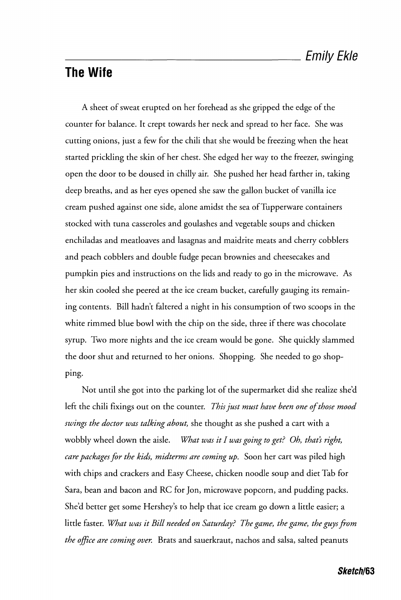## **The Wife**

A sheet of sweat erupted on her forehead as she gripped the edge of the counter for balance. It crept towards her neck and spread to her face. She was cutting onions, just a few for the chili that she would be freezing when the heat started prickling the skin of her chest. She edged her way to the freezer, swinging open the door to be doused in chilly air. She pushed her head farther in, taking deep breaths, and as her eyes opened she saw the gallon bucket of vanilla ice cream pushed against one side, alone amidst the sea of Tupperware containers stocked with tuna casseroles and goulashes and vegetable soups and chicken enchiladas and meatloaves and lasagnas and maidrite meats and cherry cobblers and peach cobblers and double fudge pecan brownies and cheesecakes and pumpkin pies and instructions on the lids and ready to go in the microwave. As her skin cooled she peered at the ice cream bucket, carefully gauging its remaining contents. Bill hadn't faltered a night in his consumption of two scoops in the white rimmed blue bowl with the chip on the side, three if there was chocolate syrup. Two more nights and the ice cream would be gone. She quickly slammed the door shut and returned to her onions. Shopping. She needed to go shopping.

Not until she got into the parking lot of the supermarket did she realize she'd left the chili fixings out on the counter. *This just must have been one of those mood swings the doctor was talking about,* she thought as she pushed a cart with a wobbly wheel down the aisle. *What was it I was going to get? Oh, that's right, care packages for the kids, midterms are coming up.* Soon her cart was piled high with chips and crackers and Easy Cheese, chicken noodle soup and diet Tab for Sara, bean and bacon and RC for Jon, microwave popcorn, and pudding packs. She'd better get some Hershey's to help that ice cream go down a little easier; a little faster. *What was it Bill needed on Saturday? The game, the game, the guys from the office are coming over.* Brats and sauerkraut, nachos and salsa, salted peanuts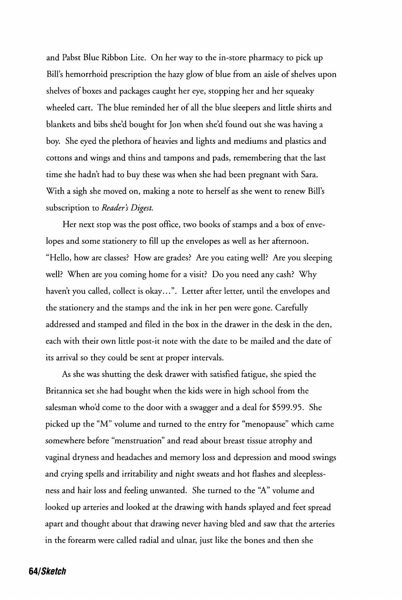and Pabst Blue Ribbon Lite. On her way to the in-store pharmacy to pick up Bill's hemorrhoid prescription the hazy glow of blue from an aisle of shelves upon shelves of boxes and packages caught her eye, stopping her and her squeaky wheeled cart. The blue reminded her of all the blue sleepers and little shirts and blankets and bibs she'd bought for Jon when she'd found out she was having a boy. She eyed the plethora of heavies and lights and mediums and plastics and cottons and wings and thins and tampons and pads, remembering that the last time she hadn't had to buy these was when she had been pregnant with Sara. With a sigh she moved on, making a note to herself as she went to renew Bill's subscription to *Reader's Digest.* 

Her next stop was the post office, two books of stamps and a box of envelopes and some stationery to fill up the envelopes as well as her afternoon. "Hello, how are classes? How are grades? Are you eating well? Are you sleeping well? When are you coming home for a visit? Do you need any cash? Why haven't you called, collect is okay...". Letter after letter, until the envelopes and the stationery and the stamps and the ink in her pen were gone. Carefully addressed and stamped and filed in the box in the drawer in the desk in the den, each with their own little post-it note with the date to be mailed and the date of its arrival so they could be sent at proper intervals.

As she was shutting the desk drawer with satisfied fatigue, she spied the Britannica set she had bought when the kids were in high school from the salesman who'd come to the door with a swagger and a deal for \$599.95. She picked up the "M" volume and turned to the entry for "menopause" which came somewhere before "menstruation" and read about breast tissue atrophy and vaginal dryness and headaches and memory loss and depression and mood swings and crying spells and irritability and night sweats and hot flashes and sleeplessness and hair loss and feeling unwanted. She turned to the "A" volume and looked up arteries and looked at the drawing with hands splayed and feet spread apart and thought about that drawing never having bled and saw that the arteries in the forearm were called radial and ulnar, just like the bones and then she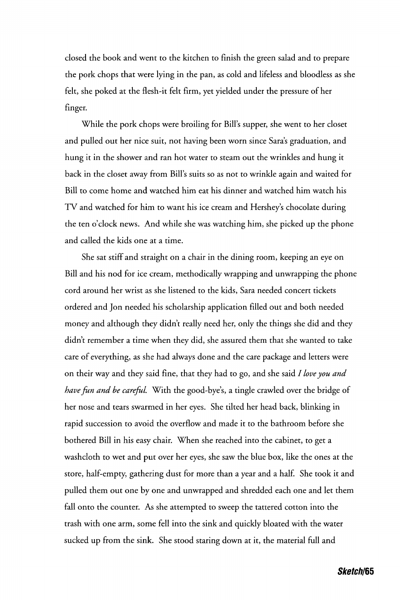closed the book and went to the kitchen to finish the green salad and to prepare the pork chops that were lying in the pan, as cold and lifeless and bloodless as she felt, she poked at the flesh-it felt firm, yet yielded under the pressure of her finger.

While the pork chops were broiling for Bill's supper, she went to her closet and pulled out her nice suit, not having been worn since Sara's graduation, and hung it in the shower and ran hot water to steam out the wrinkles and hung it back in the closet away from Bill's suits so as not to wrinkle again and waited for Bill to come home and watched him eat his dinner and watched him watch his TV and watched for him to want his ice cream and Hershey's chocolate during the ten o'clock news. And while she was watching him, she picked up the phone and called the kids one at a time.

She sat stiff and straight on a chair in the dining room, keeping an eye on Bill and his nod for ice cream, methodically wrapping and unwrapping the phone cord around her wrist as she listened to the kids, Sara needed concert tickets ordered and Jon needed his scholarship application filled out and both needed money and although they didn't really need her, only the things she did and they didn't remember a time when they did, she assured them that she wanted to take care of everything, as she had always done and the care package and letters were on their way and they said fine, that they had to go, and she said *I love you and have fun and be careful.* With the good-bye's, a tingle crawled over the bridge of her nose and tears swarmed in her eyes. She tilted her head back, blinking in rapid succession to avoid the overflow and made it to the bathroom before she bothered Bill in his easy chair. When she reached into the cabinet, to get a washcloth to wet and put over her eyes, she saw the blue box, like the ones at the store, half-empty, gathering dust for more than a year and a half. She took it and pulled them out one by one and unwrapped and shredded each one and let them fall onto the counter. As she attempted to sweep the tattered cotton into the trash with one arm, some fell into the sink and quickly bloated with the water sucked up from the sink. She stood staring down at it, the material full and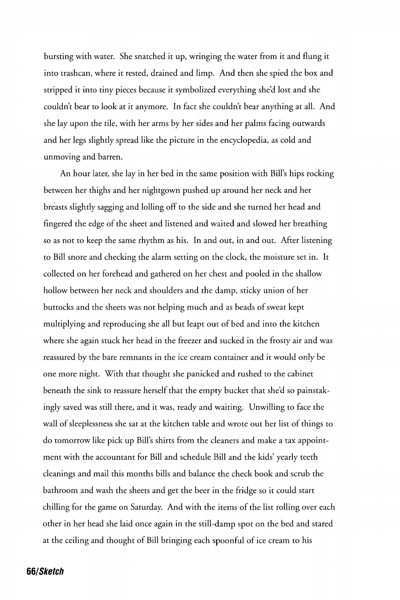bursting with water. She snatched it up, wringing the water from it and flung it into trashcan, where it rested, drained and limp. And then she spied the box and stripped it into tiny pieces because it symbolized everything she'd lost and she couldn't bear to look at it anymore. In fact she couldn't bear anything at all. And she lay upon the tile, with her arms by her sides and her palms facing outwards and her legs slightly spread like the picture in the encyclopedia, as cold and unmoving and barren.

An hour later, she lay in her bed in the same position with Bill's hips rocking between her thighs and her nightgown pushed up around her neck and her breasts slightly sagging and lolling off to the side and she turned her head and fingered the edge of the sheet and listened and waited and slowed her breathing so as not to keep the same rhythm as his. In and out, in and out. After listening to Bill snore and checking the alarm setting on the clock, the moisture set in. It collected on her forehead and gathered on her chest and pooled in the shallow hollow between her neck and shoulders and the damp, sticky union of her buttocks and the sheets was not helping much and as beads of sweat kept multiplying and reproducing she all but leapt out of bed and into the kitchen where she again stuck her head in the freezer and sucked in the frosty air and was reassured by the bare remnants in the ice cream container and it would only be one more night. With that thought she panicked and rushed to the cabinet beneath the sink to reassure herself that the empty bucket that she'd so painstakingly saved was still there, and it was, ready and waiting. Unwilling to face the wall of sleeplessness she sat at the kitchen table and wrote out her list of things to do tomorrow like pick up Bill's shirts from the cleaners and make a tax appointment with the accountant for Bill and schedule Bill and the kids' yearly teeth cleanings and mail this months bills and balance the check book and scrub the bathroom and wash the sheets and get the beer in the fridge so it could start chilling for the game on Saturday. And with the items of the list rolling over each other in her head she laid once again in the still-damp spot on the bed and stared at the ceiling and thought of Bill bringing each spoonful of ice cream to his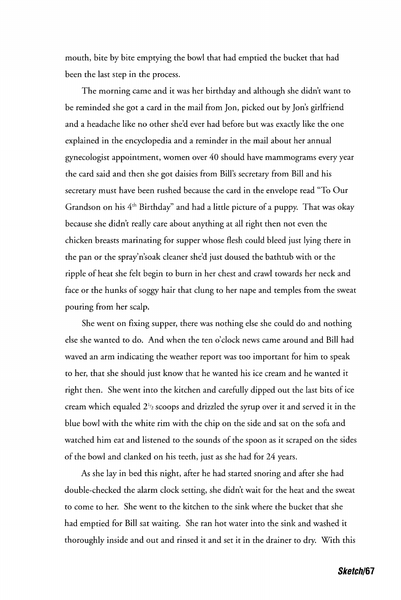mouth, bite by bite emptying the bowl that had emptied the bucket that had been the last step in the process.

The morning came and it was her birthday and although she didn't want to be reminded she got a card in the mail from Jon, picked out by Jon's girlfriend and a headache like no other she'd ever had before but was exactly like the one explained in the encyclopedia and a reminder in the mail about her annual gynecologist appointment, women over 40 should have mammograms every year the card said and then she got daisies from Bill's secretary from Bill and his secretary must have been rushed because the card in the envelope read "To Our Grandson on his  $4<sup>th</sup>$  Birthday" and had a little picture of a puppy. That was okay because she didn't really care about anything at all right then not even the chicken breasts marinating for supper whose flesh could bleed just lying there in the pan or the spray'n'soak cleaner she'd just doused the bathtub with or the ripple of heat she felt begin to burn in her chest and crawl towards her neck and face or the hunks of soggy hair that clung to her nape and temples from the sweat pouring from her scalp.

She went on fixing supper, there was nothing else she could do and nothing else she wanted to do. And when the ten o'clock news came around and Bill had waved an arm indicating the weather report was too important for him to speak to her, that she should just know that he wanted his ice cream and he wanted it right then. She went into the kitchen and carefully dipped out the last bits of ice cream which equaled *2<sup>l</sup> 'i* scoops and drizzled the syrup over it and served it in the blue bowl with the white rim with the chip on the side and sat on the sofa and watched him eat and listened to the sounds of the spoon as it scraped on the sides of the bowl and clanked on his teeth, just as she had for 24 years.

As she lay in bed this night, after he had started snoring and after she had double-checked the alarm clock setting, she didn't wait for the heat and the sweat to come to her. She went to the kitchen to the sink where the bucket that she had emptied for Bill sat waiting. She ran hot water into the sink and washed it thoroughly inside and out and rinsed it and set it in the drainer to dry. With this